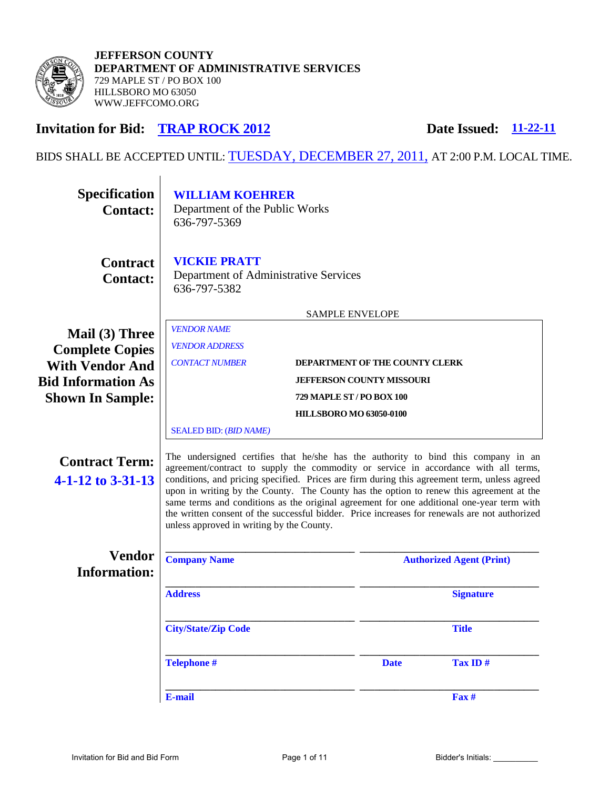

# **Invitation for Bid: TRAP ROCK 2012**

Date Issued: 11-22-11

# BIDS SHALL BE ACCEPTED UNTIL: TUESDAY, DECEMBER 27, 2011, AT 2:00 P.M. LOCAL TIME.

| <b>Specification</b><br><b>Contact:</b>                | <b>WILLIAM KOEHRER</b><br>Department of the Public Works<br>636-797-5369                                                                                                                                                                                                                                                                                                                                                                                                                                                                                                                                        |  |                                 |                  |
|--------------------------------------------------------|-----------------------------------------------------------------------------------------------------------------------------------------------------------------------------------------------------------------------------------------------------------------------------------------------------------------------------------------------------------------------------------------------------------------------------------------------------------------------------------------------------------------------------------------------------------------------------------------------------------------|--|---------------------------------|------------------|
| <b>Contract</b><br><b>Contact:</b>                     | <b>VICKIE PRATT</b><br>Department of Administrative Services<br>636-797-5382                                                                                                                                                                                                                                                                                                                                                                                                                                                                                                                                    |  |                                 |                  |
|                                                        | <b>SAMPLE ENVELOPE</b>                                                                                                                                                                                                                                                                                                                                                                                                                                                                                                                                                                                          |  |                                 |                  |
| Mail (3) Three<br><b>Complete Copies</b>               | <b>VENDOR NAME</b><br><b>VENDOR ADDRESS</b>                                                                                                                                                                                                                                                                                                                                                                                                                                                                                                                                                                     |  |                                 |                  |
| <b>With Vendor And</b>                                 | <b>CONTACT NUMBER</b><br><b>DEPARTMENT OF THE COUNTY CLERK</b>                                                                                                                                                                                                                                                                                                                                                                                                                                                                                                                                                  |  |                                 |                  |
| <b>Bid Information As</b>                              | <b>JEFFERSON COUNTY MISSOURI</b>                                                                                                                                                                                                                                                                                                                                                                                                                                                                                                                                                                                |  |                                 |                  |
| <b>Shown In Sample:</b>                                | <b>729 MAPLE ST / PO BOX 100</b>                                                                                                                                                                                                                                                                                                                                                                                                                                                                                                                                                                                |  |                                 |                  |
|                                                        | <b>HILLSBORO MO 63050-0100</b>                                                                                                                                                                                                                                                                                                                                                                                                                                                                                                                                                                                  |  |                                 |                  |
|                                                        | <b>SEALED BID: (BID NAME)</b>                                                                                                                                                                                                                                                                                                                                                                                                                                                                                                                                                                                   |  |                                 |                  |
| <b>Contract Term:</b><br>$4 - 1 - 12$ to $3 - 31 - 13$ | The undersigned certifies that he/she has the authority to bind this company in an<br>agreement/contract to supply the commodity or service in accordance with all terms,<br>conditions, and pricing specified. Prices are firm during this agreement term, unless agreed<br>upon in writing by the County. The County has the option to renew this agreement at the<br>same terms and conditions as the original agreement for one additional one-year term with<br>the written consent of the successful bidder. Price increases for renewals are not authorized<br>unless approved in writing by the County. |  |                                 |                  |
| <b>Vendor</b><br><b>Information:</b>                   | <b>Company Name</b>                                                                                                                                                                                                                                                                                                                                                                                                                                                                                                                                                                                             |  | <b>Authorized Agent (Print)</b> |                  |
|                                                        | <b>Address</b>                                                                                                                                                                                                                                                                                                                                                                                                                                                                                                                                                                                                  |  |                                 | <b>Signature</b> |
|                                                        | <b>City/State/Zip Code</b>                                                                                                                                                                                                                                                                                                                                                                                                                                                                                                                                                                                      |  |                                 | <b>Title</b>     |
|                                                        | <b>Telephone #</b>                                                                                                                                                                                                                                                                                                                                                                                                                                                                                                                                                                                              |  | <b>Date</b>                     | Tax ID $#$       |
|                                                        | E-mail                                                                                                                                                                                                                                                                                                                                                                                                                                                                                                                                                                                                          |  |                                 | $\mathbf{Fax}$ # |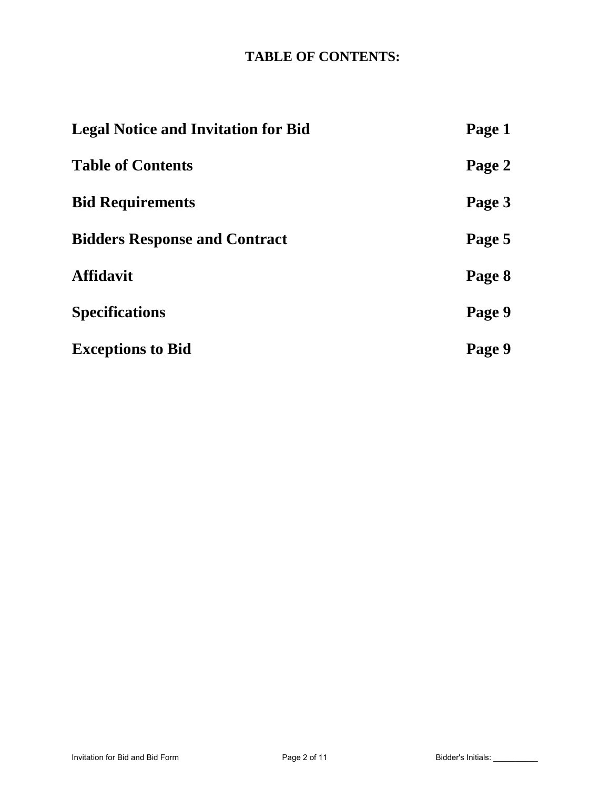# **TABLE OF CONTENTS:**

| <b>Legal Notice and Invitation for Bid</b> | Page 1 |
|--------------------------------------------|--------|
| <b>Table of Contents</b>                   | Page 2 |
| <b>Bid Requirements</b>                    | Page 3 |
| <b>Bidders Response and Contract</b>       | Page 5 |
| <b>Affidavit</b>                           | Page 8 |
| <b>Specifications</b>                      | Page 9 |
| <b>Exceptions to Bid</b>                   | Page 9 |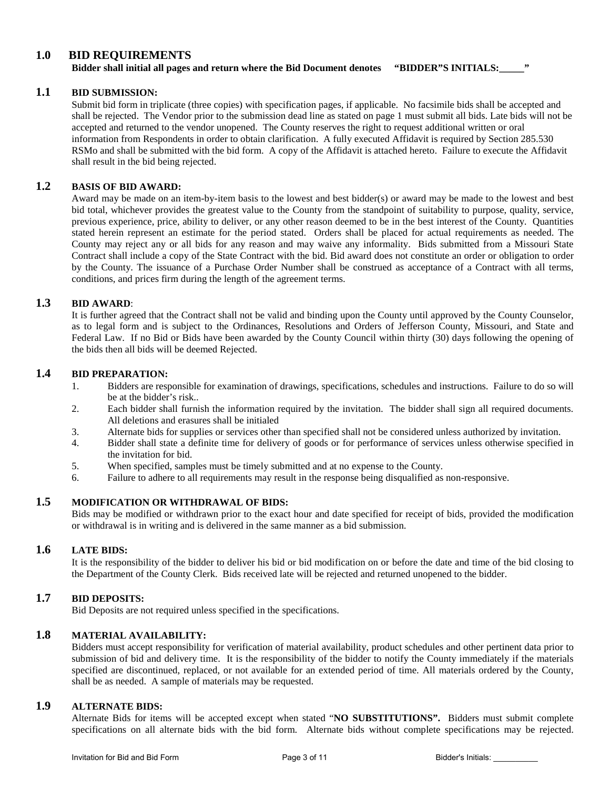# **1.0 BID REQUIREMENTS**

**Bidder shall initial all pages and return where the Bid Document denotes "BIDDER"S INITIALS:\_\_\_\_\_"**

## **1.1 BID SUBMISSION:**

Submit bid form in triplicate (three copies) with specification pages, if applicable. No facsimile bids shall be accepted and shall be rejected. The Vendor prior to the submission dead line as stated on page 1 must submit all bids. Late bids will not be accepted and returned to the vendor unopened. The County reserves the right to request additional written or oral information from Respondents in order to obtain clarification. A fully executed Affidavit is required by Section 285.530 RSMo and shall be submitted with the bid form. A copy of the Affidavit is attached hereto. Failure to execute the Affidavit shall result in the bid being rejected.

## **1.2 BASIS OF BID AWARD:**

Award may be made on an item-by-item basis to the lowest and best bidder(s) or award may be made to the lowest and best bid total, whichever provides the greatest value to the County from the standpoint of suitability to purpose, quality, service, previous experience, price, ability to deliver, or any other reason deemed to be in the best interest of the County. Quantities stated herein represent an estimate for the period stated. Orders shall be placed for actual requirements as needed. The County may reject any or all bids for any reason and may waive any informality. Bids submitted from a Missouri State Contract shall include a copy of the State Contract with the bid. Bid award does not constitute an order or obligation to order by the County. The issuance of a Purchase Order Number shall be construed as acceptance of a Contract with all terms, conditions, and prices firm during the length of the agreement terms.

## **1.3 BID AWARD**:

It is further agreed that the Contract shall not be valid and binding upon the County until approved by the County Counselor, as to legal form and is subject to the Ordinances, Resolutions and Orders of Jefferson County, Missouri, and State and Federal Law. If no Bid or Bids have been awarded by the County Council within thirty (30) days following the opening of the bids then all bids will be deemed Rejected.

# **1.4 BID PREPARATION:**

- 1. Bidders are responsible for examination of drawings, specifications, schedules and instructions. Failure to do so will be at the bidder's risk..
- 2. Each bidder shall furnish the information required by the invitation. The bidder shall sign all required documents. All deletions and erasures shall be initialed
- 3. Alternate bids for supplies or services other than specified shall not be considered unless authorized by invitation.
- 4. Bidder shall state a definite time for delivery of goods or for performance of services unless otherwise specified in the invitation for bid.
- 5. When specified, samples must be timely submitted and at no expense to the County.
- 6. Failure to adhere to all requirements may result in the response being disqualified as non-responsive.

## **1.5 MODIFICATION OR WITHDRAWAL OF BIDS:**

Bids may be modified or withdrawn prior to the exact hour and date specified for receipt of bids, provided the modification or withdrawal is in writing and is delivered in the same manner as a bid submission.

#### **1.6 LATE BIDS:**

It is the responsibility of the bidder to deliver his bid or bid modification on or before the date and time of the bid closing to the Department of the County Clerk. Bids received late will be rejected and returned unopened to the bidder.

# **1.7 BID DEPOSITS:**

Bid Deposits are not required unless specified in the specifications.

# **1.8 MATERIAL AVAILABILITY:**

Bidders must accept responsibility for verification of material availability, product schedules and other pertinent data prior to submission of bid and delivery time. It is the responsibility of the bidder to notify the County immediately if the materials specified are discontinued, replaced, or not available for an extended period of time. All materials ordered by the County, shall be as needed. A sample of materials may be requested.

## **1.9 ALTERNATE BIDS:**

Alternate Bids for items will be accepted except when stated "**NO SUBSTITUTIONS".** Bidders must submit complete specifications on all alternate bids with the bid form. Alternate bids without complete specifications may be rejected.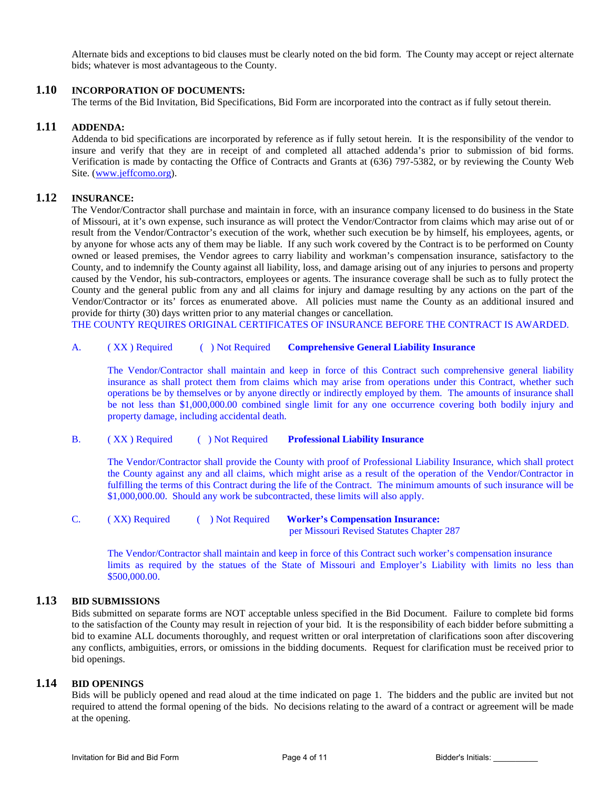Alternate bids and exceptions to bid clauses must be clearly noted on the bid form. The County may accept or reject alternate bids; whatever is most advantageous to the County.

## **1.10 INCORPORATION OF DOCUMENTS:**

The terms of the Bid Invitation, Bid Specifications, Bid Form are incorporated into the contract as if fully setout therein.

#### **1.11 ADDENDA:**

Addenda to bid specifications are incorporated by reference as if fully setout herein. It is the responsibility of the vendor to insure and verify that they are in receipt of and completed all attached addenda's prior to submission of bid forms. Verification is made by contacting the Office of Contracts and Grants at (636) 797-5382, or by reviewing the County Web Site. [\(www.jeffcomo.org\)](http://www.jeffcomo.org/).

# **1.12 INSURANCE:**

The Vendor/Contractor shall purchase and maintain in force, with an insurance company licensed to do business in the State of Missouri, at it's own expense, such insurance as will protect the Vendor/Contractor from claims which may arise out of or result from the Vendor/Contractor's execution of the work, whether such execution be by himself, his employees, agents, or by anyone for whose acts any of them may be liable. If any such work covered by the Contract is to be performed on County owned or leased premises, the Vendor agrees to carry liability and workman's compensation insurance, satisfactory to the County, and to indemnify the County against all liability, loss, and damage arising out of any injuries to persons and property caused by the Vendor, his sub-contractors, employees or agents. The insurance coverage shall be such as to fully protect the County and the general public from any and all claims for injury and damage resulting by any actions on the part of the Vendor/Contractor or its' forces as enumerated above. All policies must name the County as an additional insured and provide for thirty (30) days written prior to any material changes or cancellation.

THE COUNTY REQUIRES ORIGINAL CERTIFICATES OF INSURANCE BEFORE THE CONTRACT IS AWARDED.

#### A. ( XX ) Required ( ) Not Required **Comprehensive General Liability Insurance**

The Vendor/Contractor shall maintain and keep in force of this Contract such comprehensive general liability insurance as shall protect them from claims which may arise from operations under this Contract, whether such operations be by themselves or by anyone directly or indirectly employed by them. The amounts of insurance shall be not less than \$1,000,000.00 combined single limit for any one occurrence covering both bodily injury and property damage, including accidental death.

#### B. ( XX ) Required ( ) Not Required **Professional Liability Insurance**

The Vendor/Contractor shall provide the County with proof of Professional Liability Insurance, which shall protect the County against any and all claims, which might arise as a result of the operation of the Vendor/Contractor in fulfilling the terms of this Contract during the life of the Contract. The minimum amounts of such insurance will be \$1,000,000.00. Should any work be subcontracted, these limits will also apply.

|  | (XX) Required | $\Box$ Not Required | <b>Worker's Compensation Insurance:</b>   |  |  |
|--|---------------|---------------------|-------------------------------------------|--|--|
|  |               |                     | per Missouri Revised Statutes Chapter 287 |  |  |

 The Vendor/Contractor shall maintain and keep in force of this Contract such worker's compensation insurance limits as required by the statues of the State of Missouri and Employer's Liability with limits no less than \$500,000.00.

#### **1.13 BID SUBMISSIONS**

Bids submitted on separate forms are NOT acceptable unless specified in the Bid Document. Failure to complete bid forms to the satisfaction of the County may result in rejection of your bid. It is the responsibility of each bidder before submitting a bid to examine ALL documents thoroughly, and request written or oral interpretation of clarifications soon after discovering any conflicts, ambiguities, errors, or omissions in the bidding documents. Request for clarification must be received prior to bid openings.

#### **1.14 BID OPENINGS**

Bids will be publicly opened and read aloud at the time indicated on page 1. The bidders and the public are invited but not required to attend the formal opening of the bids. No decisions relating to the award of a contract or agreement will be made at the opening.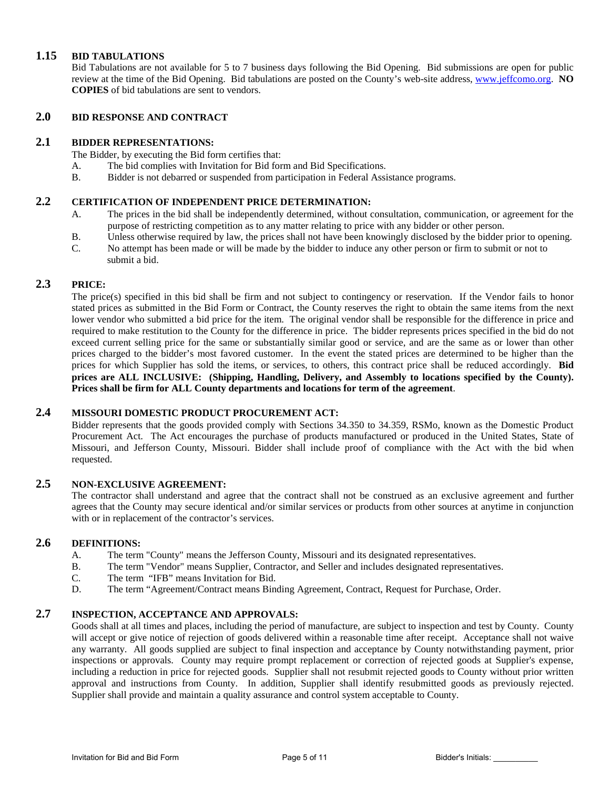#### **1.15 BID TABULATIONS**

Bid Tabulations are not available for 5 to 7 business days following the Bid Opening. Bid submissions are open for public review at the time of the Bid Opening. Bid tabulations are posted on the County's web-site address, [www.jeffcomo.org.](http://www.jeffcomo.org/) **NO COPIES** of bid tabulations are sent to vendors.

# **2.0 BID RESPONSE AND CONTRACT**

#### **2.1 BIDDER REPRESENTATIONS:**

The Bidder, by executing the Bid form certifies that:

- A. The bid complies with Invitation for Bid form and Bid Specifications.
- B. Bidder is not debarred or suspended from participation in Federal Assistance programs.

## **2.2 CERTIFICATION OF INDEPENDENT PRICE DETERMINATION:**

- A. The prices in the bid shall be independently determined, without consultation, communication, or agreement for the purpose of restricting competition as to any matter relating to price with any bidder or other person.
- B. Unless otherwise required by law, the prices shall not have been knowingly disclosed by the bidder prior to opening.
- C. No attempt has been made or will be made by the bidder to induce any other person or firm to submit or not to submit a bid.

#### **2.3 PRICE:**

The price(s) specified in this bid shall be firm and not subject to contingency or reservation. If the Vendor fails to honor stated prices as submitted in the Bid Form or Contract, the County reserves the right to obtain the same items from the next lower vendor who submitted a bid price for the item. The original vendor shall be responsible for the difference in price and required to make restitution to the County for the difference in price. The bidder represents prices specified in the bid do not exceed current selling price for the same or substantially similar good or service, and are the same as or lower than other prices charged to the bidder's most favored customer. In the event the stated prices are determined to be higher than the prices for which Supplier has sold the items, or services, to others, this contract price shall be reduced accordingly. **Bid prices are ALL INCLUSIVE: (Shipping, Handling, Delivery, and Assembly to locations specified by the County). Prices shall be firm for ALL County departments and locations for term of the agreement**.

### **2.4 MISSOURI DOMESTIC PRODUCT PROCUREMENT ACT:**

Bidder represents that the goods provided comply with Sections 34.350 to 34.359, RSMo, known as the Domestic Product Procurement Act. The Act encourages the purchase of products manufactured or produced in the United States, State of Missouri, and Jefferson County, Missouri. Bidder shall include proof of compliance with the Act with the bid when requested.

# **2.5 NON-EXCLUSIVE AGREEMENT:**

The contractor shall understand and agree that the contract shall not be construed as an exclusive agreement and further agrees that the County may secure identical and/or similar services or products from other sources at anytime in conjunction with or in replacement of the contractor's services.

#### **2.6 DEFINITIONS:**

- A. The term "County" means the Jefferson County, Missouri and its designated representatives.
- B. The term "Vendor" means Supplier, Contractor, and Seller and includes designated representatives.
- C. The term "IFB" means Invitation for Bid.
- D. The term "Agreement/Contract means Binding Agreement, Contract, Request for Purchase, Order.

#### **2.7 INSPECTION, ACCEPTANCE AND APPROVALS:**

Goods shall at all times and places, including the period of manufacture, are subject to inspection and test by County. County will accept or give notice of rejection of goods delivered within a reasonable time after receipt. Acceptance shall not waive any warranty. All goods supplied are subject to final inspection and acceptance by County notwithstanding payment, prior inspections or approvals. County may require prompt replacement or correction of rejected goods at Supplier's expense, including a reduction in price for rejected goods. Supplier shall not resubmit rejected goods to County without prior written approval and instructions from County. In addition, Supplier shall identify resubmitted goods as previously rejected. Supplier shall provide and maintain a quality assurance and control system acceptable to County.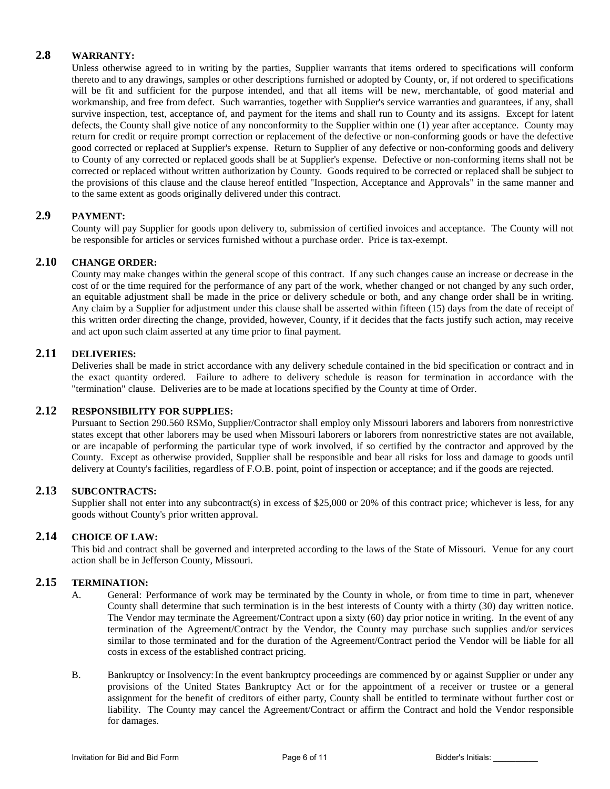## **2.8 WARRANTY:**

Unless otherwise agreed to in writing by the parties, Supplier warrants that items ordered to specifications will conform thereto and to any drawings, samples or other descriptions furnished or adopted by County, or, if not ordered to specifications will be fit and sufficient for the purpose intended, and that all items will be new, merchantable, of good material and workmanship, and free from defect. Such warranties, together with Supplier's service warranties and guarantees, if any, shall survive inspection, test, acceptance of, and payment for the items and shall run to County and its assigns. Except for latent defects, the County shall give notice of any nonconformity to the Supplier within one (1) year after acceptance. County may return for credit or require prompt correction or replacement of the defective or non-conforming goods or have the defective good corrected or replaced at Supplier's expense. Return to Supplier of any defective or non-conforming goods and delivery to County of any corrected or replaced goods shall be at Supplier's expense. Defective or non-conforming items shall not be corrected or replaced without written authorization by County. Goods required to be corrected or replaced shall be subject to the provisions of this clause and the clause hereof entitled "Inspection, Acceptance and Approvals" in the same manner and to the same extent as goods originally delivered under this contract.

# **2.9 PAYMENT:**

County will pay Supplier for goods upon delivery to, submission of certified invoices and acceptance. The County will not be responsible for articles or services furnished without a purchase order. Price is tax-exempt.

#### **2.10 CHANGE ORDER:**

County may make changes within the general scope of this contract. If any such changes cause an increase or decrease in the cost of or the time required for the performance of any part of the work, whether changed or not changed by any such order, an equitable adjustment shall be made in the price or delivery schedule or both, and any change order shall be in writing. Any claim by a Supplier for adjustment under this clause shall be asserted within fifteen (15) days from the date of receipt of this written order directing the change, provided, however, County, if it decides that the facts justify such action, may receive and act upon such claim asserted at any time prior to final payment.

## **2.11 DELIVERIES:**

Deliveries shall be made in strict accordance with any delivery schedule contained in the bid specification or contract and in the exact quantity ordered. Failure to adhere to delivery schedule is reason for termination in accordance with the "termination" clause. Deliveries are to be made at locations specified by the County at time of Order.

#### **2.12 RESPONSIBILITY FOR SUPPLIES:**

Pursuant to Section 290.560 RSMo, Supplier/Contractor shall employ only Missouri laborers and laborers from nonrestrictive states except that other laborers may be used when Missouri laborers or laborers from nonrestrictive states are not available, or are incapable of performing the particular type of work involved, if so certified by the contractor and approved by the County. Except as otherwise provided, Supplier shall be responsible and bear all risks for loss and damage to goods until delivery at County's facilities, regardless of F.O.B. point, point of inspection or acceptance; and if the goods are rejected.

#### **2.13 SUBCONTRACTS:**

Supplier shall not enter into any subcontract(s) in excess of \$25,000 or 20% of this contract price; whichever is less, for any goods without County's prior written approval.

## **2.14 CHOICE OF LAW:**

This bid and contract shall be governed and interpreted according to the laws of the State of Missouri. Venue for any court action shall be in Jefferson County, Missouri.

## **2.15 TERMINATION:**

- A. General: Performance of work may be terminated by the County in whole, or from time to time in part, whenever County shall determine that such termination is in the best interests of County with a thirty (30) day written notice. The Vendor may terminate the Agreement/Contract upon a sixty (60) day prior notice in writing. In the event of any termination of the Agreement/Contract by the Vendor, the County may purchase such supplies and/or services similar to those terminated and for the duration of the Agreement/Contract period the Vendor will be liable for all costs in excess of the established contract pricing.
- B. Bankruptcy or Insolvency:In the event bankruptcy proceedings are commenced by or against Supplier or under any provisions of the United States Bankruptcy Act or for the appointment of a receiver or trustee or a general assignment for the benefit of creditors of either party, County shall be entitled to terminate without further cost or liability. The County may cancel the Agreement/Contract or affirm the Contract and hold the Vendor responsible for damages.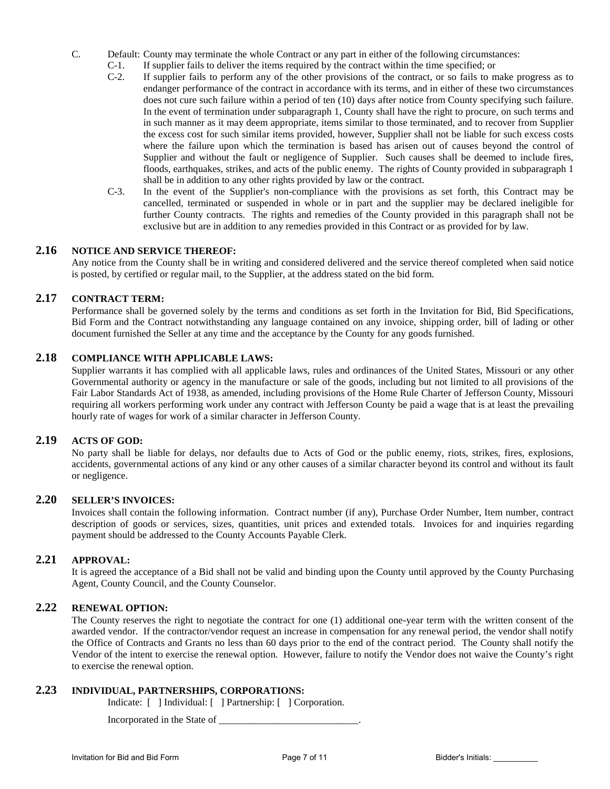- C. Default: County may terminate the whole Contract or any part in either of the following circumstances:
	- C-1. If supplier fails to deliver the items required by the contract within the time specified; or C-2. If supplier fails to perform any of the other provisions of the contract, or so fails to m
	- If supplier fails to perform any of the other provisions of the contract, or so fails to make progress as to endanger performance of the contract in accordance with its terms, and in either of these two circumstances does not cure such failure within a period of ten (10) days after notice from County specifying such failure. In the event of termination under subparagraph 1, County shall have the right to procure, on such terms and in such manner as it may deem appropriate, items similar to those terminated, and to recover from Supplier the excess cost for such similar items provided, however, Supplier shall not be liable for such excess costs where the failure upon which the termination is based has arisen out of causes beyond the control of Supplier and without the fault or negligence of Supplier. Such causes shall be deemed to include fires, floods, earthquakes, strikes, and acts of the public enemy. The rights of County provided in subparagraph 1 shall be in addition to any other rights provided by law or the contract.
	- C-3. In the event of the Supplier's non-compliance with the provisions as set forth, this Contract may be cancelled, terminated or suspended in whole or in part and the supplier may be declared ineligible for further County contracts. The rights and remedies of the County provided in this paragraph shall not be exclusive but are in addition to any remedies provided in this Contract or as provided for by law.

#### **2.16 NOTICE AND SERVICE THEREOF:**

Any notice from the County shall be in writing and considered delivered and the service thereof completed when said notice is posted, by certified or regular mail, to the Supplier, at the address stated on the bid form.

## **2.17 CONTRACT TERM:**

Performance shall be governed solely by the terms and conditions as set forth in the Invitation for Bid, Bid Specifications, Bid Form and the Contract notwithstanding any language contained on any invoice, shipping order, bill of lading or other document furnished the Seller at any time and the acceptance by the County for any goods furnished.

### **2.18 COMPLIANCE WITH APPLICABLE LAWS:**

Supplier warrants it has complied with all applicable laws, rules and ordinances of the United States, Missouri or any other Governmental authority or agency in the manufacture or sale of the goods, including but not limited to all provisions of the Fair Labor Standards Act of 1938, as amended, including provisions of the Home Rule Charter of Jefferson County, Missouri requiring all workers performing work under any contract with Jefferson County be paid a wage that is at least the prevailing hourly rate of wages for work of a similar character in Jefferson County.

#### **2.19 ACTS OF GOD:**

No party shall be liable for delays, nor defaults due to Acts of God or the public enemy, riots, strikes, fires, explosions, accidents, governmental actions of any kind or any other causes of a similar character beyond its control and without its fault or negligence.

### **2.20 SELLER'S INVOICES:**

Invoices shall contain the following information. Contract number (if any), Purchase Order Number, Item number, contract description of goods or services, sizes, quantities, unit prices and extended totals. Invoices for and inquiries regarding payment should be addressed to the County Accounts Payable Clerk.

#### **2.21 APPROVAL:**

It is agreed the acceptance of a Bid shall not be valid and binding upon the County until approved by the County Purchasing Agent, County Council, and the County Counselor.

#### **2.22 RENEWAL OPTION:**

The County reserves the right to negotiate the contract for one (1) additional one-year term with the written consent of the awarded vendor. If the contractor/vendor request an increase in compensation for any renewal period, the vendor shall notify the Office of Contracts and Grants no less than 60 days prior to the end of the contract period. The County shall notify the Vendor of the intent to exercise the renewal option. However, failure to notify the Vendor does not waive the County's right to exercise the renewal option.

## **2.23 INDIVIDUAL, PARTNERSHIPS, CORPORATIONS:**

Indicate: [ ] Individual: [ ] Partnership: [ ] Corporation.

Incorporated in the State of \_\_\_\_\_\_\_\_\_\_\_\_\_\_\_\_\_\_\_\_\_\_\_\_\_\_\_\_.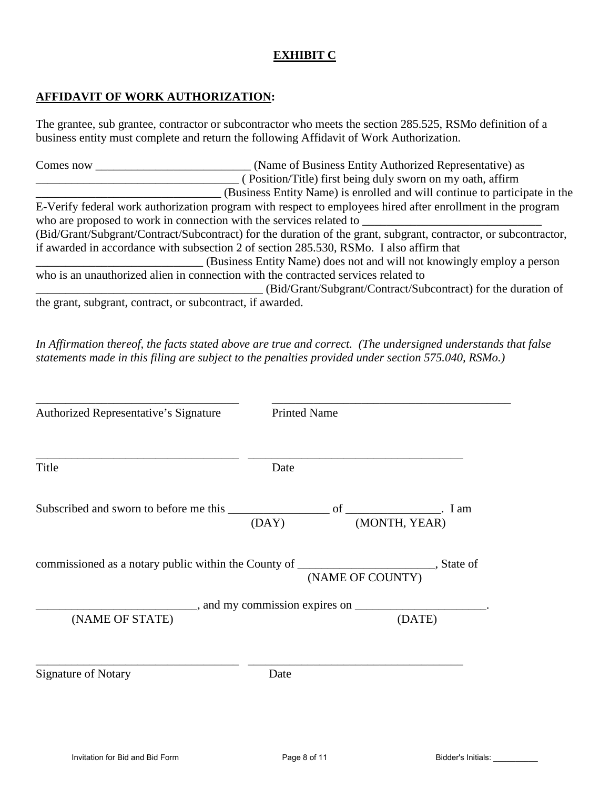# **EXHIBIT C**

# **AFFIDAVIT OF WORK AUTHORIZATION:**

The grantee, sub grantee, contractor or subcontractor who meets the section 285.525, RSMo definition of a business entity must complete and return the following Affidavit of Work Authorization.

Comes now **Comes now** (Name of Business Entity Authorized Representative) as \_\_\_\_\_\_\_\_\_\_\_\_\_\_\_\_\_\_\_\_\_\_\_\_\_\_\_\_\_\_\_\_\_\_ ( Position/Title) first being duly sworn on my oath, affirm \_\_\_\_\_\_\_\_\_\_\_\_\_\_\_\_\_\_\_\_\_\_\_\_\_\_\_\_\_\_\_ (Business Entity Name) is enrolled and will continue to participate in the E-Verify federal work authorization program with respect to employees hired after enrollment in the program who are proposed to work in connection with the services related to (Bid/Grant/Subgrant/Contract/Subcontract) for the duration of the grant, subgrant, contractor, or subcontractor, if awarded in accordance with subsection 2 of section 285.530, RSMo. I also affirm that \_\_\_\_\_\_\_\_\_\_\_\_\_\_\_\_\_\_\_\_\_\_\_\_\_\_\_\_ (Business Entity Name) does not and will not knowingly employ a person who is an unauthorized alien in connection with the contracted services related to \_\_\_\_\_\_\_\_\_\_\_\_\_\_\_\_\_\_\_\_\_\_\_\_\_\_\_\_\_\_\_\_\_\_\_\_\_\_ (Bid/Grant/Subgrant/Contract/Subcontract) for the duration of the grant, subgrant, contract, or subcontract, if awarded.

*In Affirmation thereof, the facts stated above are true and correct. (The undersigned understands that false statements made in this filing are subject to the penalties provided under section 575.040, RSMo.)* 

| Authorized Representative's Signature | <b>Printed Name</b>                                                                                          |  |
|---------------------------------------|--------------------------------------------------------------------------------------------------------------|--|
| Title                                 | Date                                                                                                         |  |
|                                       | (MONTH, YEAR)<br>(DAY)                                                                                       |  |
|                                       | commissioned as a notary public within the County of _________________________, State of<br>(NAME OF COUNTY) |  |
| (NAME OF STATE)                       | $\frac{1}{2}$ , and my commission expires on $\frac{1}{2}$<br>(DATE)                                         |  |
| <b>Signature of Notary</b>            | Date                                                                                                         |  |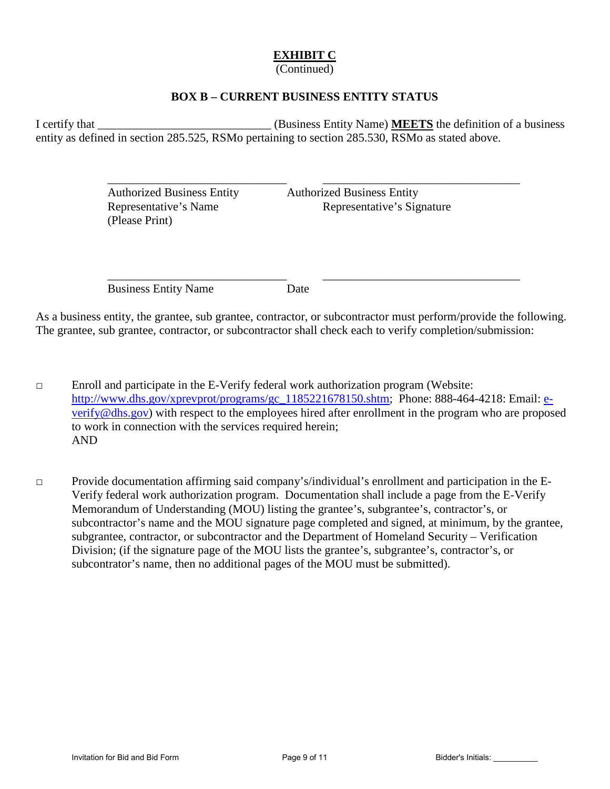# **EXHIBIT C**

(Continued)

# **BOX B – CURRENT BUSINESS ENTITY STATUS**

I certify that \_\_\_\_\_\_\_\_\_\_\_\_\_\_\_\_\_\_\_\_\_\_\_\_\_\_\_\_\_ (Business Entity Name) **MEETS** the definition of a business entity as defined in section 285.525, RSMo pertaining to section 285.530, RSMo as stated above.

 $\overline{\phantom{a}}$  ,  $\overline{\phantom{a}}$  ,  $\overline{\phantom{a}}$  ,  $\overline{\phantom{a}}$  ,  $\overline{\phantom{a}}$  ,  $\overline{\phantom{a}}$  ,  $\overline{\phantom{a}}$  ,  $\overline{\phantom{a}}$  ,  $\overline{\phantom{a}}$  ,  $\overline{\phantom{a}}$  ,  $\overline{\phantom{a}}$  ,  $\overline{\phantom{a}}$  ,  $\overline{\phantom{a}}$  ,  $\overline{\phantom{a}}$  ,  $\overline{\phantom{a}}$  ,  $\overline{\phantom{a}}$ 

 $\overline{\phantom{a}}$  ,  $\overline{\phantom{a}}$  ,  $\overline{\phantom{a}}$  ,  $\overline{\phantom{a}}$  ,  $\overline{\phantom{a}}$  ,  $\overline{\phantom{a}}$  ,  $\overline{\phantom{a}}$  ,  $\overline{\phantom{a}}$  ,  $\overline{\phantom{a}}$  ,  $\overline{\phantom{a}}$  ,  $\overline{\phantom{a}}$  ,  $\overline{\phantom{a}}$  ,  $\overline{\phantom{a}}$  ,  $\overline{\phantom{a}}$  ,  $\overline{\phantom{a}}$  ,  $\overline{\phantom{a}}$ 

 Authorized Business Entity Authorized Business Entity (Please Print)

Representative's Name Representative's Signature

Business Entity Name Date

As a business entity, the grantee, sub grantee, contractor, or subcontractor must perform/provide the following. The grantee, sub grantee, contractor, or subcontractor shall check each to verify completion/submission:

□ Enroll and participate in the E-Verify federal work authorization program (Website: [http://www.dhs.gov/xprevprot/programs/gc\\_1185221678150.shtm;](http://www.dhs.gov/xprevprot/programs/gc_1185221678150.shtm) Phone: 888-464-4218: Email: [e](mailto:e-verify@dhs.gov)[verify@dhs.gov\)](mailto:e-verify@dhs.gov) with respect to the employees hired after enrollment in the program who are proposed to work in connection with the services required herein; AND

□ Provide documentation affirming said company's/individual's enrollment and participation in the E-Verify federal work authorization program. Documentation shall include a page from the E-Verify Memorandum of Understanding (MOU) listing the grantee's, subgrantee's, contractor's, or subcontractor's name and the MOU signature page completed and signed, at minimum, by the grantee, subgrantee, contractor, or subcontractor and the Department of Homeland Security – Verification Division; (if the signature page of the MOU lists the grantee's, subgrantee's, contractor's, or subcontrator's name, then no additional pages of the MOU must be submitted).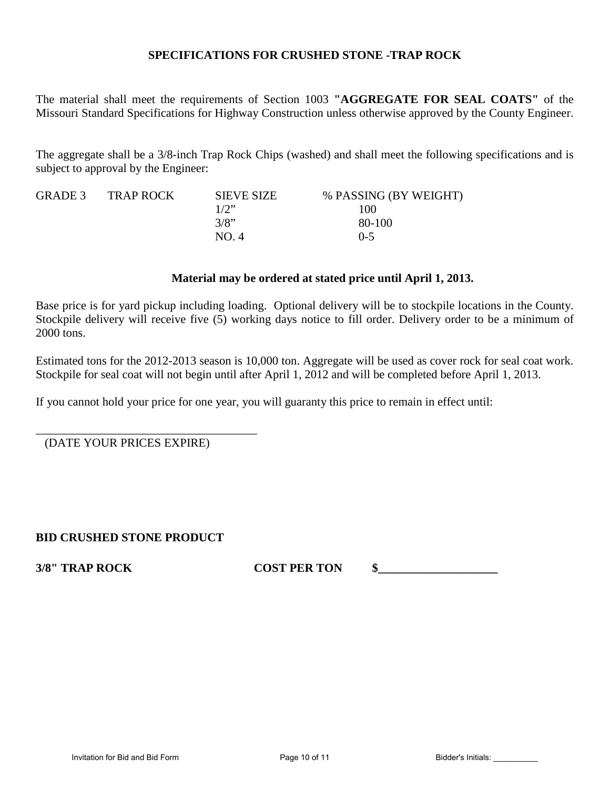# **SPECIFICATIONS FOR CRUSHED STONE -TRAP ROCK**

The material shall meet the requirements of Section 1003 **"AGGREGATE FOR SEAL COATS"** of the Missouri Standard Specifications for Highway Construction unless otherwise approved by the County Engineer.

The aggregate shall be a 3/8-inch Trap Rock Chips (washed) and shall meet the following specifications and is subject to approval by the Engineer:

| GRADE 3 | <b>TRAP ROCK</b> | <b>SIEVE SIZE</b> | % PASSING (BY WEIGHT) |
|---------|------------------|-------------------|-----------------------|
|         |                  | 1/2               | 100                   |
|         |                  | 3/8"              | 80-100                |
|         |                  | NO.4              | $0 - 5$               |

### **Material may be ordered at stated price until April 1, 2013.**

Base price is for yard pickup including loading. Optional delivery will be to stockpile locations in the County. Stockpile delivery will receive five (5) working days notice to fill order. Delivery order to be a minimum of 2000 tons.

Estimated tons for the 2012-2013 season is 10,000 ton. Aggregate will be used as cover rock for seal coat work. Stockpile for seal coat will not begin until after April 1, 2012 and will be completed before April 1, 2013.

If you cannot hold your price for one year, you will guaranty this price to remain in effect until:

\_\_\_\_\_\_\_\_\_\_\_\_\_\_\_\_\_\_\_\_\_\_\_\_\_\_\_\_\_\_\_\_\_\_\_\_\_ (DATE YOUR PRICES EXPIRE)

# **BID CRUSHED STONE PRODUCT**

**3/8" TRAP ROCK COST PER TON \$**